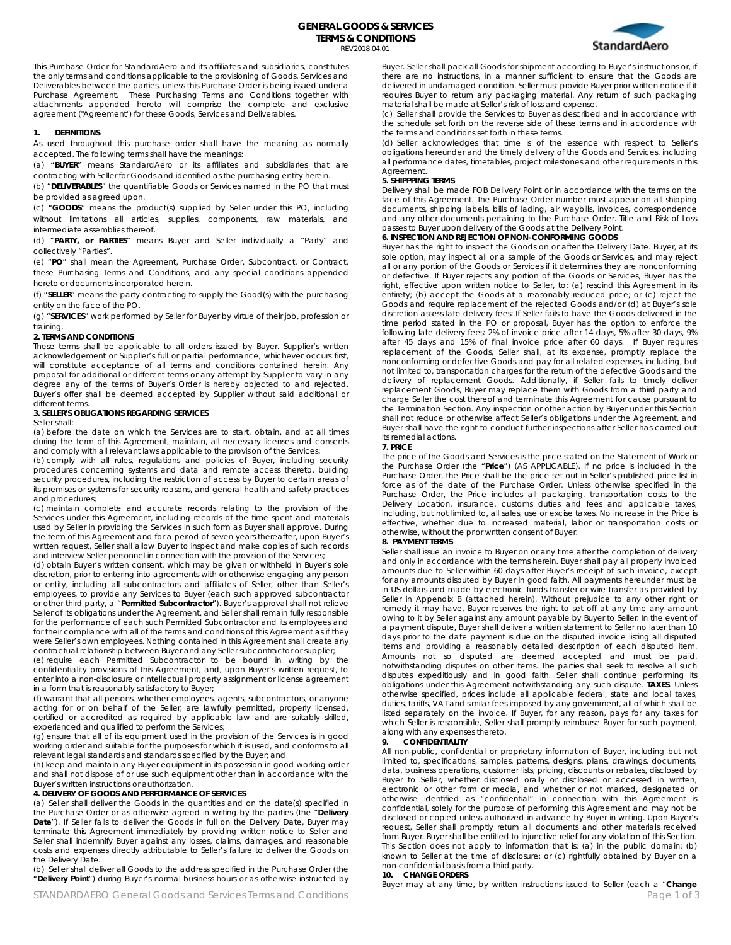

This Purchase Order for StandardAero and its affiliates and subsidiaries, constitutes the only terms and conditions applicable to the provisioning of Goods, Services and Deliverables between the parties, unless this Purchase Order is being issued under a Purchase Agreement. These Purchasing Terms and Conditions together with attachments appended hereto will comprise the complete and exclusive agreement ("Agreement") for these Goods, Services and Deliverables.

### **1. DEFINITIONS**

As used throughout this purchase order shall have the meaning as normally accepted. The following terms shall have the meanings:

(a) "**BUYER**" means StandardAero or its affiliates and subsidiaries that are contracting with Seller for Goods and identified as the purchasing entity herein.

(b) "**DELIVERABLES**" the quantifiable Goods or Services named in the PO that must be provided as agreed upon.

(c) "**GOODS**" means the product(s) supplied by Seller under this PO, including without limitations all articles, supplies, components, raw materials, and intermediate assemblies thereof.

(d) "**PARTY, or PARTIES**" means Buyer and Seller individually a "Party" and collectively "Parties".

(e) "**PO**" shall mean the Agreement, Purchase Order, Subcontract, or Contract, these Purchasing Terms and Conditions, and any special conditions appended hereto or documents incorporated herein.

(f) "**SELLER**" means the party contracting to supply the Good(s) with the purchasing entity on the face of the PO.

(g) "**SERVICES**" work performed by Seller for Buyer by virtue of their job, profession or training.

#### **2. TERMS AND CONDITIONS**

These terms shall be applicable to all orders issued by Buyer. Supplier's written acknowledgement or Supplier's full or partial performance, whichever occurs first, will constitute acceptance of all terms and conditions contained herein. Any proposal for additional or different terms or any attempt by Supplier to vary in any degree any of the terms of Buyer's Order is hereby objected to and rejected. Buyer's offer shall be deemed accepted by Supplier without said additional or different terms.

# **3. SELLER'S OBLIGATIONS REGARDING SERVICES**

# Seller shall:

(a) before the date on which the Services are to start, obtain, and at all times during the term of this Agreement, maintain, all necessary licenses and consents and comply with all relevant laws applicable to the provision of the Services;

(b) comply with all rules, regulations and policies of Buyer, including security procedures concerning systems and data and remote access thereto, building security procedures, including the restriction of access by Buyer to certain areas of its premises or systems for security reasons, and general health and safety practices and procedures;

(c) maintain complete and accurate records relating to the provision of the Services under this Agreement, including records of the time spent and materials used by Seller in providing the Services in such form as Buyer shall approve. During the term of this Agreement and for a period of seven years thereafter, upon Buyer's written request, Seller shall allow Buyer to inspect and make copies of such records and interview Seller personnel in connection with the provision of the Services;

(d) obtain Buyer's written consent, which may be given or withheld in Buyer's sole discretion, prior to entering into agreements with or otherwise engaging any person or entity, including all subcontractors and affiliates of Seller, other than Seller's employees, to provide any Services to Buyer (each such approved subcontractor or other third party, a "**Permitted Subcontractor**"). Buyer's approval shall not relieve Seller of its obligations under the Agreement, and Seller shall remain fully responsible for the performance of each such Permitted Subcontractor and its employees and for their compliance with all of the terms and conditions of this Agreement as if they were Seller's own employees. Nothing contained in this Agreement shall create any contractual relationship between Buyer and any Seller subcontractor or supplier;

(e) require each Permitted Subcontractor to be bound in writing by the confidentiality provisions of this Agreement, and, upon Buyer's written request, to enter into a non-disclosure or intellectual property assignment or license agreement in a form that is reasonably satisfactory to Buyer;

(f) warrant that all persons, whether employees, agents, subcontractors, or anyone acting for or on behalf of the Seller, are lawfully permitted, properly licensed, certified or accredited as required by applicable law and are suitably skilled, experienced and qualified to perform the Services;

(g) ensure that all of its equipment used in the provision of the Services is in good working order and suitable for the purposes for which it is used, and conforms to all relevant legal standards and standards specified by the Buyer; and

(h) keep and maintain any Buyer equipment in its possession in good working order and shall not dispose of or use such equipment other than in accordance with the Buyer's written instructions or authorization.

## **4. DELIVERY OF GOODS AND PERFORMANCE OF SERVICES**

(a) Seller shall deliver the Goods in the quantities and on the date(s) specified in the Purchase Order or as otherwise agreed in writing by the parties (the "**Delivery**  Date"). If Seller fails to deliver the Goods in full on the Delivery Date, Buyer may terminate this Agreement immediately by providing written notice to Seller and Seller shall indemnify Buyer against any losses, claims, damages, and reasonable costs and expenses directly attributable to Seller's failure to deliver the Goods on the Delivery Date.

(b) Seller shall deliver all Goods to the address specified in the Purchase Order (the "**Delivery Point**") during Buyer's normal business hours or as otherwise instructed by

Buyer. Seller shall pack all Goods for shipment according to Buyer's instructions or, if there are no instructions, in a manner sufficient to ensure that the Goods are delivered in undamaged condition. Seller must provide Buyer prior written notice if it requires Buyer to return any packaging material. Any return of such packaging material shall be made at Seller's risk of loss and expense.

(c) Seller shall provide the Services to Buyer as described and in accordance with the schedule set forth on the reverse side of these terms and in accordance with the terms and conditions set forth in these terms.

(d) Seller acknowledges that time is of the essence with respect to Seller's obligations hereunder and the timely delivery of the Goods and Services, including all performance dates, timetables, project milestones and other requirements in this Agreement.

## **5. SHIPPPING TERMS**

Delivery shall be made FOB Delivery Point or in accordance with the terms on the face of this Agreement. The Purchase Order number must appear on all shipping documents, shipping labels, bills of lading, air waybills, invoices, correspondence and any other documents pertaining to the Purchase Order. Title and Risk of Loss passes to Buyer upon delivery of the Goods at the Delivery Point.

### **6. INSPECTION AND REJECTION OF NON-CONFORMING GOODS**

Buyer has the right to inspect the Goods on or after the Delivery Date. Buyer, at its sole option, may inspect all or a sample of the Goods or Services, and may reject all or any portion of the Goods or Services if it determines they are nonconforming or defective. If Buyer rejects any portion of the Goods or Services, Buyer has the right, effective upon written notice to Seller, to: (a) rescind this Agreement in its entirety; (b) accept the Goods at a reasonably reduced price; or (c) reject the Goods and require replacement of the rejected Goods and/or (d) at Buyer's sole discretion assess late delivery fees: If Seller fails to have the Goods delivered in the time period stated in the PO or proposal, Buyer has the option to enforce the following late delivery fees: 2% of invoice price after 14 days, 5% after 30 days, 9% after 45 days and 15% of final invoice price after 60 days. If Buyer requires replacement of the Goods, Seller shall, at its expense, promptly replace the nonconforming or defective Goods and pay for all related expenses, including, but not limited to, transportation charges for the return of the defective Goods and the delivery of replacement Goods. Additionally, if Seller fails to timely deliver replacement Goods, Buyer may replace them with Goods from a third party and charge Seller the cost thereof and terminate this Agreement for cause pursuant to the Termination Section. Any inspection or other action by Buyer under this Section shall not reduce or otherwise affect Seller's obligations under the Agreement, and Buyer shall have the right to conduct further inspections after Seller has carried out its remedial actions.

#### **7. PRICE**

The price of the Goods and Services is the price stated on the Statement of Work or the Purchase Order (the "**Price**") (AS APPLICABLE). If no price is included in the Purchase Order, the Price shall be the price set out in Seller's published price list in force as of the date of the Purchase Order. Unless otherwise specified in the Purchase Order, the Price includes all packaging, transportation costs to the Delivery Location, insurance, customs duties and fees and applicable taxes, including, but not limited to, all sales, use or excise taxes. No increase in the Price is effective, whether due to increased material, labor or transportation costs or otherwise, without the prior written consent of Buyer.

### **8. PAYMENT TERMS**

Seller shall issue an invoice to Buyer on or any time after the completion of delivery and only in accordance with the terms herein. Buyer shall pay all properly invoiced amounts due to Seller within 60 days after Buyer's receipt of such invoice, except for any amounts disputed by Buyer in good faith. All payments hereunder must be in US dollars and made by electronic funds transfer or wire transfer as provided by Seller in Appendix B (attached herein). Without prejudice to any other right or remedy it may have, Buyer reserves the right to set off at any time any amount owing to it by Seller against any amount payable by Buyer to Seller. In the event of a payment dispute, Buyer shall deliver a written statement to Seller no later than 10 days prior to the date payment is due on the disputed invoice listing all disputed items and providing a reasonably detailed description of each disputed item. Amounts not so disputed are deemed accepted and must be paid, notwithstanding disputes on other items. The parties shall seek to resolve all such disputes expeditiously and in good faith. Seller shall continue performing its obligations under this Agreement notwithstanding any such dispute. **TAXES**. Unless otherwise specified, prices include all applicable federal, state and local taxes, duties, tariffs, VAT and similar fees imposed by any government, all of which shall be listed separately on the invoice. If Buyer, for any reason, pays for any taxes for which Seller is responsible, Seller shall promptly reimburse Buyer for such payment, along with any expenses thereto.

#### **9. CONFIDENTIALITY**

All non-public, confidential or proprietary information of Buyer, including but not limited to, specifications, samples, patterns, designs, plans, drawings, documents, data, business operations, customer lists, pricing, discounts or rebates, disclosed by Buyer to Seller, whether disclosed orally or disclosed or accessed in written, electronic or other form or media, and whether or not marked, designated or otherwise identified as "confidential" in connection with this Agreement is confidential, solely for the purpose of performing this Agreement and may not be disclosed or copied unless authorized in advance by Buyer in writing. Upon Buyer's request, Seller shall promptly return all documents and other materials received from Buyer. Buyer shall be entitled to injunctive relief for any violation of this Section. This Section does not apply to information that is: (a) in the public domain; (b) known to Seller at the time of disclosure; or (c) rightfully obtained by Buyer on a non-confidential basis from a third party.

#### **10. CHANGE ORDERS**

STANDARDAERO General Goods and Services Terms and Conditions **Page 1 of 3** and 2011 1 and 2012 1 of 3 and 2012 1 of 3 Buyer may at any time, by written instructions issued to Seller (each a "**Change**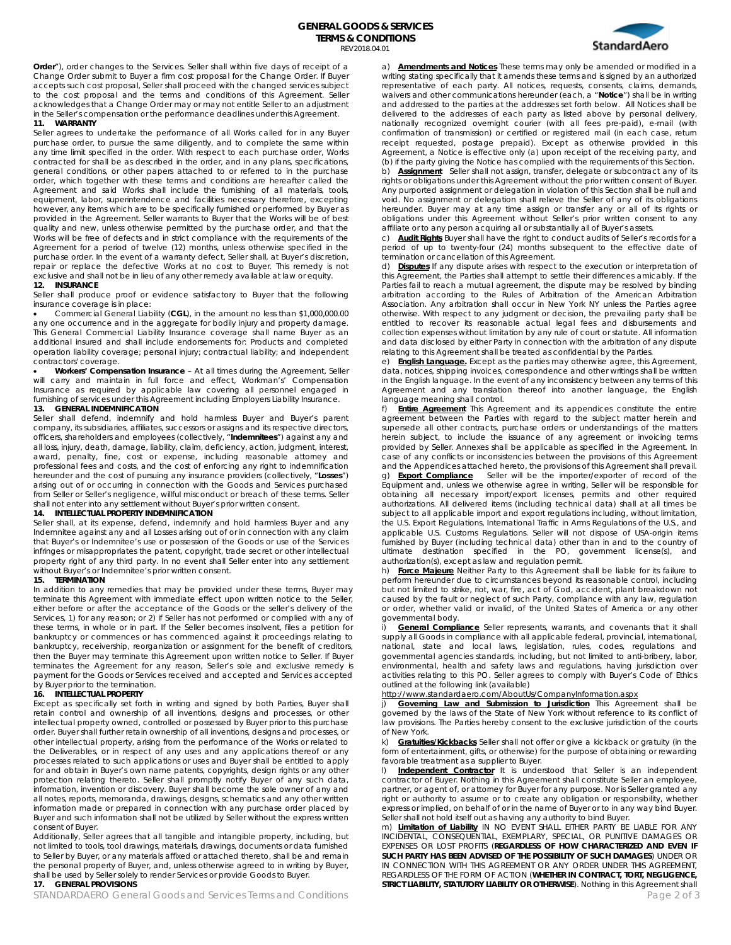**Order**"), order changes to the Services. Seller shall within five days of receipt of a Change Order submit to Buyer a firm cost proposal for the Change Order. If Buyer accepts such cost proposal, Seller shall proceed with the changed services subject to the cost proposal and the terms and conditions of this Agreement. Seller acknowledges that a Change Order may or may not entitle Seller to an adjustment in the Seller's compensation or the performance deadlines under this Agreement.

### **11. WARRANTY**

Seller agrees to undertake the performance of all Works called for in any Buyer purchase order, to pursue the same diligently, and to complete the same within any time limit specified in the order. With respect to each purchase order, Works contracted for shall be as described in the order, and in any plans, specifications, general conditions, or other papers attached to or referred to in the purchase order, which together with these terms and conditions are hereafter called the Agreement and said Works shall include the furnishing of all materials, tools, equipment, labor, superintendence and facilities necessary therefore, excepting however, any items which are to be specifically furnished or performed by Buyer as provided in the Agreement. Seller warrants to Buyer that the Works will be of best quality and new, unless otherwise permitted by the purchase order, and that the Works will be free of defects and in strict compliance with the requirements of the Agreement for a period of twelve (12) months, unless otherwise specified in the purchase order. In the event of a warranty defect, Seller shall, at Buyer's discretion, repair or replace the defective Works at no cost to Buyer. This remedy is not exclusive and shall not be in lieu of any other remedy available at law or equity.

#### **12. INSURANCE**

Seller shall produce proof or evidence satisfactory to Buyer that the following insurance coverage is in place:

• Commercial General Liability (**CGL**), in the amount no less than \$1,000,000.00 any one occurrence and in the aggregate for bodily injury and property damage. This General Commercial Liability Insurance coverage shall name Buyer as an additional insured and shall include endorsements for: Products and completed operation liability coverage; personal injury; contractual liability; and independent contractors' coverage.

• **Workers' Compensation Insurance** – At all times during the Agreement, Seller will carry and maintain in full force and effect, Workman's' Compensation Insurance as required by applicable law covering all personnel engaged in furnishing of services under this Agreement including Employers Liability Insurance.

## **13. GENERAL INDEMNIFICATION**

Seller shall defend, indemnify and hold harmless Buyer and Buyer's parent company, its subsidiaries, affiliates, successors or assigns and its respective directors, officers, shareholders and employees (collectively, "**Indemnitees**") against any and all loss, injury, death, damage, liability, claim, deficiency, action, judgment, interest, award, penalty, fine, cost or expense, including reasonable attorney and professional fees and costs, and the cost of enforcing any right to indemnification hereunder and the cost of pursuing any insurance providers (collectively, "**Losses**") arising out of or occurring in connection with the Goods and Services purchased from Seller or Seller's negligence, willful misconduct or breach of these terms. Seller shall not enter into any settlement without Buyer's prior written consent.

## **14. INTELLECTUAL PROPERTY INDEMNIFICATION**

Seller shall, at its expense, defend, indemnify and hold harmless Buyer and any Indemnitee against any and all Losses arising out of or in connection with any claim that Buyer's or Indemnitee's use or possession of the Goods or use of the Services infringes or misappropriates the patent, copyright, trade secret or other intellectual property right of any third party. In no event shall Seller enter into any settlement without Buyer's or Indemnitee's prior written consent.

#### **15. TERMINATION**

In addition to any remedies that may be provided under these terms, Buyer may terminate this Agreement with immediate effect upon written notice to the Seller, either before or after the acceptance of the Goods or the seller's delivery of the Services, 1) for any reason; or 2) if Seller has not performed or complied with any of these terms, in whole or in part. If the Seller becomes insolvent, files a petition for bankruptcy or commences or has commenced against it proceedings relating to bankruptcy, receivership, reorganization or assignment for the benefit of creditors, then the Buyer may terminate this Agreement upon written notice to Seller. If Buyer terminates the Agreement for any reason, Seller's sole and exclusive remedy is payment for the Goods or Services received and accepted and Services accepted by Buyer prior to the termination.

## **16. INTELLECTUAL PROPERTY**

Except as specifically set forth in writing and signed by both Parties, Buyer shall retain control and ownership of all inventions, designs and processes, or other intellectual property owned, controlled or possessed by Buyer prior to this purchase order. Buyer shall further retain ownership of all inventions, designs and processes, or other intellectual property, arising from the performance of the Works or related to the Deliverables, or in respect of any uses and any applications thereof or any processes related to such applications or uses and Buyer shall be entitled to apply for and obtain in Buyer's own name patents, copyrights, design rights or any other protection relating thereto. Seller shall promptly notify Buyer of any such data, information, invention or discovery. Buyer shall become the sole owner of any and all notes, reports, memoranda, drawings, designs, schematics and any other written information made or prepared in connection with any purchase order placed by Buyer and such information shall not be utilized by Seller without the express written consent of Buyer.

Additionally, Seller agrees that all tangible and intangible property, including, but not limited to tools, tool drawings, materials, drawings, documents or data furnished to Seller by Buyer, or any materials affixed or attached thereto, shall be and remain the personal property of Buyer, and, unless otherwise agreed to in writing by Buyer, shall be used by Seller solely to render Services or provide Goods to Buyer.

## **17. GENERAL PROVISIONS**

STANDARDAERO General Goods and Services Terms and Conditions **Page 2 of 3** and 2 of 3



a) **Amendments and Notices** These terms may only be amended or modified in a writing stating specifically that it amends these terms and is signed by an authorized representative of each party. All notices, requests, consents, claims, demands, waivers and other communications hereunder (each, a "**Notice**") shall be in writing and addressed to the parties at the addresses set forth below. All Notices shall be delivered to the addresses of each party as listed above by personal delivery, nationally recognized overnight courier (with all fees pre-paid), e-mail (with confirmation of transmission) or certified or registered mail (in each case, return receipt requested, postage prepaid). Except as otherwise provided in this Agreement, a Notice is effective only (a) upon receipt of the receiving party, and (b) if the party giving the Notice has complied with the requirements of this Section. b) **Assignment** Seller shall not assign, transfer, delegate or subcontract any of its rights or obligations under this Agreement without the prior written consent of Buyer.

Any purported assignment or delegation in violation of this Section shall be null and void. No assignment or delegation shall relieve the Seller of any of its obligations hereunder. Buyer may at any time assign or transfer any or all of its rights or obligations under this Agreement without Seller's prior written consent to any affiliate or to any person acquiring all or substantially all of Buyer's assets.

c) **Audit Rights** Buyer shall have the right to conduct audits of Seller's records for a period of up to twenty-four (24) months subsequent to the effective date of termination or cancellation of this Agreement.

d) **Disputes** If any dispute arises with respect to the execution or interpretation of this Agreement, the Parties shall attempt to settle their differences amicably. If the Parties fail to reach a mutual agreement, the dispute may be resolved by binding arbitration according to the Rules of Arbitration of the American Arbitration Association. Any arbitration shall occur in New York NY unless the Parties agree otherwise. With respect to any judgment or decision, the prevailing party shall be entitled to recover its reasonable actual legal fees and disbursements and collection expenses without limitation by any rule of court or statute. All information and data disclosed by either Party in connection with the arbitration of any dispute relating to this Agreement shall be treated as confidential by the Parties.

e) **English Language.** Except as the parties may otherwise agree, this Agreement, data, notices, shipping invoices, correspondence and other writings shall be written in the English language. In the event of any inconsistency between any terms of this Agreement and any translation thereof into another language, the English language meaning shall control.

f) **Entire Agreement** This Agreement and its appendices constitute the entire agreement between the Parties with regard to the subject matter herein and supersede all other contracts, purchase orders or understandings of the matters herein subject, to include the issuance of any agreement or invoicing terms provided by Seller. Annexes shall be applicable as specified in the Agreement. In case of any conflicts or inconsistencies between the provisions of this Agreement and the Appendices attached hereto, the provisions of this Agreement shall prevail.

g) **Export Compliance** Seller will be the importer/exporter of record of the Equipment and, unless we otherwise agree in writing, Seller will be responsible for obtaining all necessary import/export licenses, permits and other required authorizations. All delivered items (including technical data) shall at all times be subject to all applicable import and export regulations including, without limitation, the U.S. Export Regulations, International Traffic in Arms Regulations of the U.S., and applicable U.S. Customs Regulations. Seller will not dispose of USA-origin items furnished by Buyer (including technical data) other than in and to the country of ultimate destination specified in the PO, government license(s), and authorization(s), except as law and regulation permit.

h) **Force Majeure** Neither Party to this Agreement shall be liable for its failure to perform hereunder due to circumstances beyond its reasonable control, including but not limited to strike, riot, war, fire, act of God, accident, plant breakdown not caused by the fault or neglect of such Party, compliance with any law, regulation or order, whether valid or invalid, of the United States of America or any other governmental body.

i) **General Compliance** Seller represents, warrants, and covenants that it shall supply all Goods in compliance with all applicable federal, provincial, international, national, state and local laws, legislation, rules, codes, regulations and governmental agencies standards, including, but not limited to anti-bribery, labor, environmental, health and safety laws and regulations, having jurisdiction over activities relating to this PO. Seller agrees to comply with Buyer's Code of Ethics outlined at the following link (available)

# http://www.standardaero.com/AboutUs/CompanyInformation.aspx

j) 6**Governing Law and Submission to Jurisdiction** This Agreement shall be sportent of the State of New York without of<br>governed by the laws of the State of New York without reference to its conflict of law provisions. The Parties hereby consent to the exclusive jurisdiction of the courts of New York.

k) **Gratuities/Kickbacks** Seller shall not offer or give a kickback or gratuity (in the form of entertainment, gifts, or otherwise) for the purpose of obtaining or rewarding favorable treatment as a supplier to Buyer.

l) **Independent Contractor** It is understood that Seller is an independent contractor of Buyer. Nothing in this Agreement shall constitute Seller an employee, partner, or agent of, or attorney for Buyer for any purpose. Nor is Seller granted any right or authority to assume or to create any obligation or responsibility, whether express or implied, on behalf of or in the name of Buyer or to in any way bind Buyer. Seller shall not hold itself out as having any authority to bind Buyer.

m) **Limitation of Liability** IN NO EVENT SHALL EITHER PARTY BE LIABLE FOR ANY INCIDENTAL, CONSEQUENTIAL, EXEMPLARY, SPECIAL, OR PUNITIVE DAMAGES OR EXPENSES OR LOST PROFITS (**REGARDLESS OF HOW CHARACTERIZED AND EVEN IF SUCH PARTY HAS BEEN ADVISED OF THE POSSIBILITY OF SUCH DAMAGES**) UNDER OR IN CONNECTION WITH THIS AGREEMENT OR ANY ORDER UNDER THIS AGREEMENT, REGARDLESS OF THE FORM OF ACTION (**WHETHER IN CONTRACT, TORT, NEGLIGENCE, STRICT LIABILITY, STATUTORY LIABILITY OR OTHERWISE**). Nothing in this Agreement shall